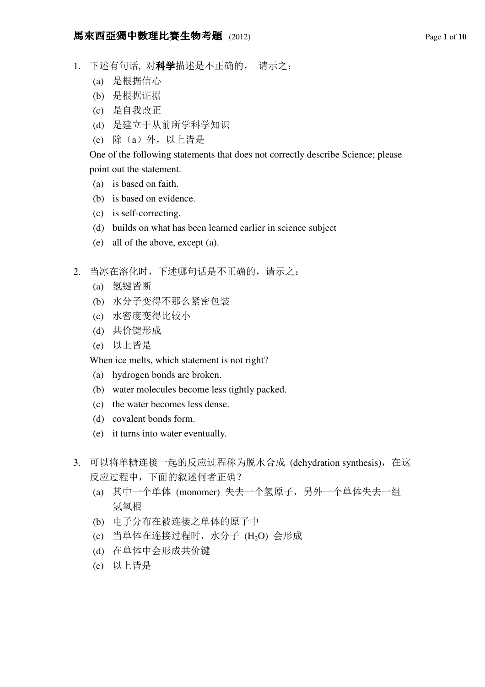- 1. 下述有句话, 对**科学**描述是不正确的, 请示之:
	- (a) 是根据信心
	- (b) 是根据证据
	- (c) 是自我改正
	- (d) 是建立于从前所学科学知识
	- (e) 除(a)外,以上皆是

One of the following statements that does not correctly describe Science; please point out the statement.

- (a) is based on faith.
- (b) is based on evidence.
- (c) is self-correcting.
- (d) builds on what has been learned earlier in science subject
- (e) all of the above, except (a).
- 2. 当冰在溶化时,下述哪句话是不正确的,请示之:
	- (a) 氢键皆断
	- (b) 水分子变得不那么紧密包装
	- (c) 水密度变得比较小
	- (d) 共价键形成
	- (e) 以上皆是

When ice melts, which statement is not right?

- (a) hydrogen bonds are broken.
- (b) water molecules become less tightly packed.
- (c) the water becomes less dense.
- (d) covalent bonds form.
- (e) it turns into water eventually.
- 3. 可以将单糖连接一起的反应过程称为脱水合成 (dehydration synthesis), 在这 反应过程中,下面的叙述何者正确?
	- (a) 其中一个单体 (monomer) 失去一个氢原子,另外一个单体失去一组 氢氧根
	- (b) 电子分布在被连接之单体的原子中
	- (c) 当单体在连接过程时,水分子 (H2O) 会形成
	- (d) 在单体中会形成共价键
	- (e) 以上皆是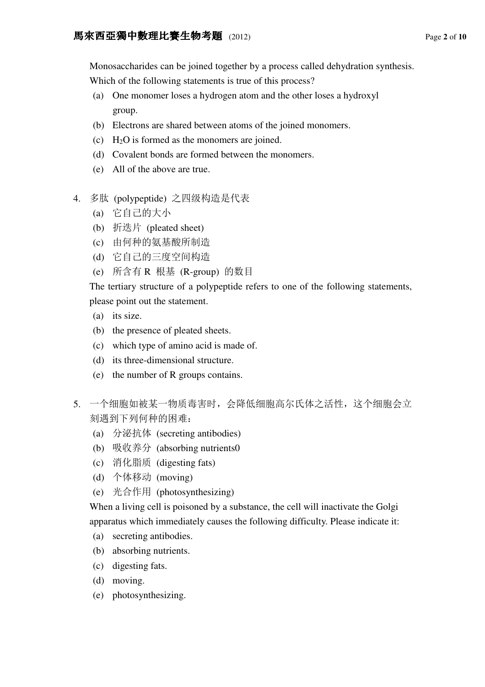Monosaccharides can be joined together by a process called dehydration synthesis.

Which of the following statements is true of this process?

- (a) One monomer loses a hydrogen atom and the other loses a hydroxyl group.
- (b) Electrons are shared between atoms of the joined monomers.
- (c)  $H_2O$  is formed as the monomers are joined.
- (d) Covalent bonds are formed between the monomers.
- (e) All of the above are true.
- 4. 多肽 (polypeptide) 之四级构造是代表
	- (a) 它自己的大小
	- (b) 折迭片 (pleated sheet)
	- (c) 由何种的氨基酸所制造
	- (d) 它自己的三度空间构造
	- (e) 所含有 R 根基 (R-group) 的数目

The tertiary structure of a polypeptide refers to one of the following statements, please point out the statement.

- (a) its size.
- (b) the presence of pleated sheets.
- (c) which type of amino acid is made of.
- (d) its three-dimensional structure.
- (e) the number of R groups contains.
- 5. 一个细胞如被某一物质毒害时,会降低细胞高尔氏体之活性,这个细胞会立 刻遇到下列何种的困难:
	- (a) 分泌抗体 (secreting antibodies)
	- (b) 吸收养分 (absorbing nutrients0
	- (c) 消化脂质 (digesting fats)
	- (d) 个体移动 (moving)
	- (e) 光合作用 (photosynthesizing)

When a living cell is poisoned by a substance, the cell will inactivate the Golgi apparatus which immediately causes the following difficulty. Please indicate it:

- (a) secreting antibodies.
- (b) absorbing nutrients.
- (c) digesting fats.
- (d) moving.
- (e) photosynthesizing.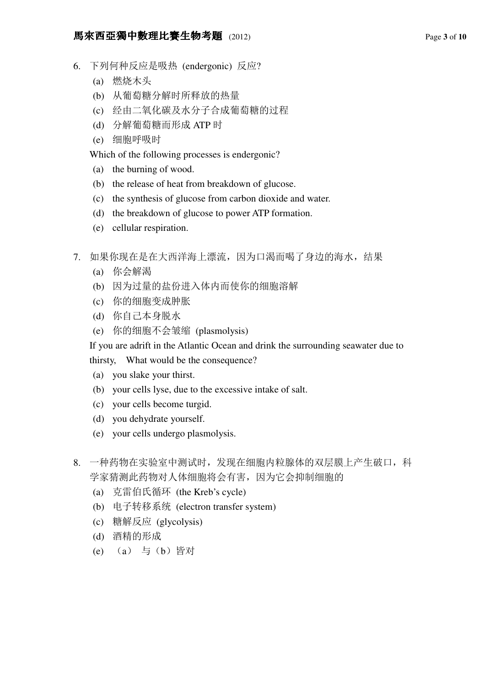### **馬來西亞獨中數理比賽生物考題** (2012) Page 3 of 10

- 6. 下列何种反应是吸热 (endergonic) 反应?
	- (a) 燃烧木头
	- (b) 从葡萄糖分解时所释放的热量
	- (c) 经由二氧化碳及水分子合成葡萄糖的过程
	- (d) 分解葡萄糖而形成 ATP 时
	- (e) 细胞呼吸时

Which of the following processes is endergonic?

- (a) the burning of wood.
- (b) the release of heat from breakdown of glucose.
- (c) the synthesis of glucose from carbon dioxide and water.
- (d) the breakdown of glucose to power ATP formation.
- (e) cellular respiration.
- 7. 如果你现在是在大西洋海上漂流,因为口渴而喝了身边的海水,结果
	- (a) 你会解渴
	- (b) 因为过量的盐份进入体内而使你的细胞溶解
	- (c) 你的细胞变成肿胀
	- (d) 你自己本身脱水
	- (e) 你的细胞不会皱缩 (plasmolysis)

If you are adrift in the Atlantic Ocean and drink the surrounding seawater due to

thirsty, What would be the consequence?

- (a) you slake your thirst.
- (b) your cells lyse, due to the excessive intake of salt.
- (c) your cells become turgid.
- (d) you dehydrate yourself.
- (e) your cells undergo plasmolysis.
- 8. 一种药物在实验室中测试时,发现在细胞内粒腺体的双层膜上产生破口,科 学家猜测此药物对人体细胞将会有害,因为它会抑制细胞的
	- (a) 克雷伯氏循环 (the Kreb's cycle)
	- (b) 电子转移系统 (electron transfer system)
	- (c) 糖解反应 (glycolysis)
	- (d) 酒精的形成
	- (e) (a) 与(b)皆对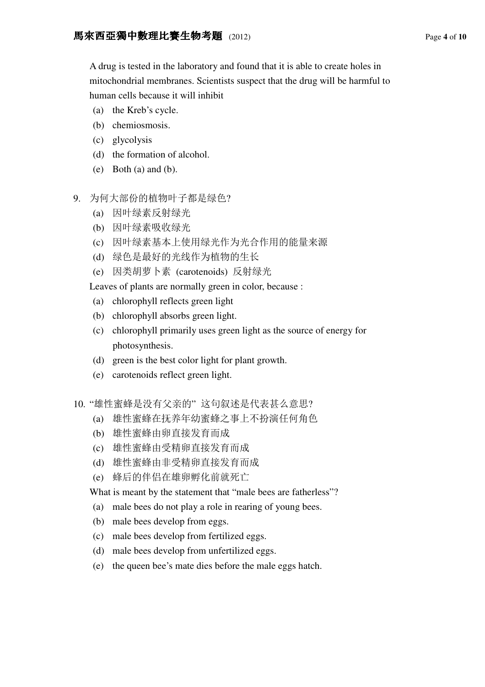A drug is tested in the laboratory and found that it is able to create holes in mitochondrial membranes. Scientists suspect that the drug will be harmful to human cells because it will inhibit

- (a) the Kreb's cycle.
- (b) chemiosmosis.
- (c) glycolysis
- (d) the formation of alcohol.
- $(e)$  Both  $(a)$  and  $(b)$ .
- 9. 为何大部份的植物叶子都是绿色?
	- (a) 因叶绿素反射绿光
	- (b) 因叶绿素吸收绿光
	- (c) 因叶绿素基本上使用绿光作为光合作用的能量来源
	- (d) 绿色是最好的光线作为植物的生长
	- (e) 因类胡萝卜素 (carotenoids) 反射绿光

Leaves of plants are normally green in color, because :

- (a) chlorophyll reflects green light
- (b) chlorophyll absorbs green light.
- (c) chlorophyll primarily uses green light as the source of energy for photosynthesis.
- (d) green is the best color light for plant growth.
- (e) carotenoids reflect green light.
- 10. "雄性蜜蜂是没有父亲的" 这句叙述是代表甚么意思?
	- (a) 雄性蜜蜂在抚养年幼蜜蜂之事上不扮演任何角色
	- (b) 雄性蜜蜂由卵直接发育而成
	- (c) 雄性蜜蜂由受精卵直接发育而成
	- (d) 雄性蜜蜂由非受精卵直接发育而成
	- (e) 蜂后的伴侣在雄卵孵化前就死亡
	- What is meant by the statement that "male bees are fatherless"?
	- (a) male bees do not play a role in rearing of young bees.
	- (b) male bees develop from eggs.
	- (c) male bees develop from fertilized eggs.
	- (d) male bees develop from unfertilized eggs.
	- (e) the queen bee's mate dies before the male eggs hatch.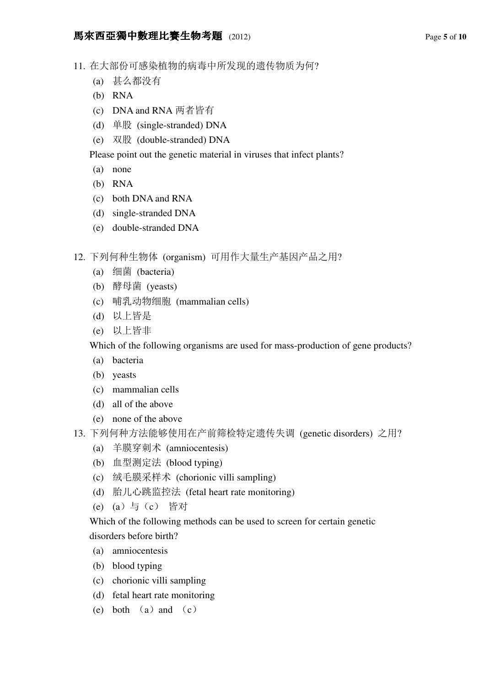# **馬來西亞獨中數理比賽生物考題** (2012) Page 5 of 10

- 11. 在大部份可感染植物的病毒中所发现的遗传物质为何?
	- (a) 甚么都没有
	- (b) RNA
	- (c) DNA and RNA 两者皆有
	- (d) 单股 (single-stranded) DNA
	- (e) 双股 (double-stranded) DNA

Please point out the genetic material in viruses that infect plants?

- (a) none
- (b) RNA
- (c) both DNA and RNA
- (d) single-stranded DNA
- (e) double-stranded DNA
- 12. 下列何种生物体 (organism) 可用作大量生产基因产品之用?
	- (a) 细菌 (bacteria)
	- (b) 酵母菌 (yeasts)
	- (c) 哺乳动物细胞 (mammalian cells)
	- (d) 以上皆是
	- (e) 以上皆非

Which of the following organisms are used for mass-production of gene products?

- (a) bacteria
- (b) yeasts
- (c) mammalian cells
- (d) all of the above
- (e) none of the above
- 13. 下列何种方法能够使用在产前筛检特定遗传失调 (genetic disorders) 之用?
	- (a) 羊膜穿刺术 (amniocentesis)
	- (b) 血型测定法 (blood typing)
	- (c) 绒毛膜采样术 (chorionic villi sampling)
	- (d) 胎儿心跳监控法 (fetal heart rate monitoring)
	- (e) (a)与(c) 皆对

Which of the following methods can be used to screen for certain genetic disorders before birth?

- (a) amniocentesis
- (b) blood typing
- (c) chorionic villi sampling
- (d) fetal heart rate monitoring
- (e) both  $(a)$  and  $(c)$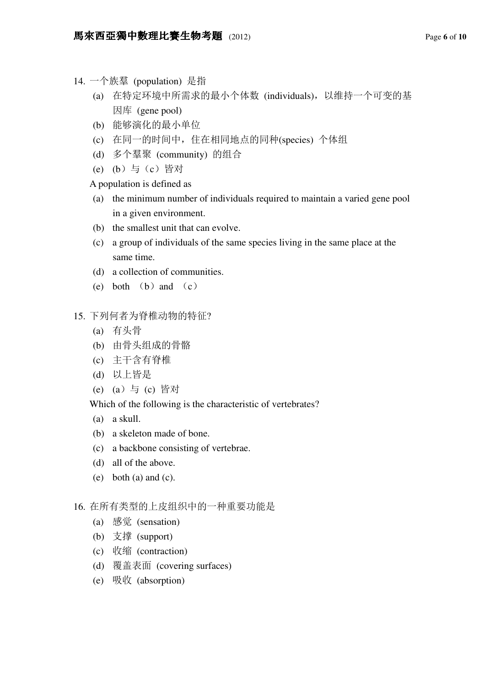- 14. 一个族羣 (population) 是指
	- (a) 在特定环境中所需求的最小个体数 (individuals),以维持一个可变的基 因库 (gene pool)
	- (b) 能够演化的最小单位
	- (c) 在同一的时间中,住在相同地点的同种(species) 个体组
	- (d) 多个羣聚 (community) 的组合
	- (e) (b)与(c)皆对
	- A population is defined as
	- (a) the minimum number of individuals required to maintain a varied gene pool in a given environment.
	- (b) the smallest unit that can evolve.
	- (c) a group of individuals of the same species living in the same place at the same time.
	- (d) a collection of communities.
	- (e) both  $(b)$  and  $(c)$
- 15. 下列何者为脊椎动物的特征?
	- (a) 有头骨
	- (b) 由骨头组成的骨骼
	- (c) 主干含有脊椎
	- (d) 以上皆是
	- (e) (a)与 (c) 皆对

Which of the following is the characteristic of vertebrates?

- (a) a skull.
- (b) a skeleton made of bone.
- (c) a backbone consisting of vertebrae.
- (d) all of the above.
- (e) both (a) and (c).

# 16. 在所有类型的上皮组织中的一种重要功能是

- (a) 感觉 (sensation)
- (b) 支撑 (support)
- (c) 收缩 (contraction)
- (d) 覆盖表面 (covering surfaces)
- (e) 吸收 (absorption)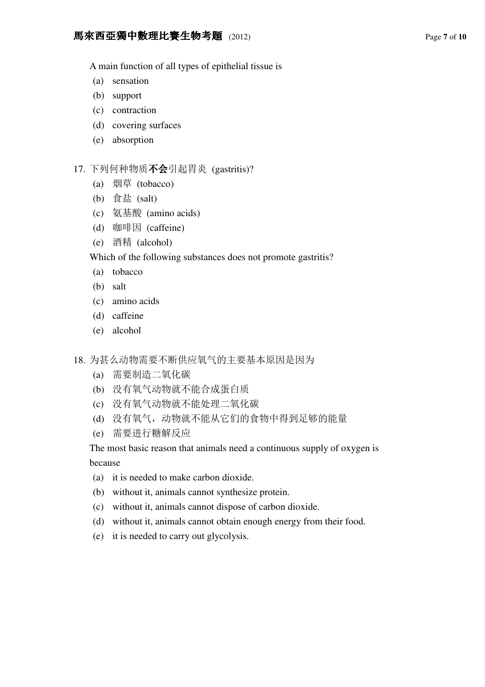#### **馬來西亞獨中數理比賽生物考題** (2012) Page 7 of 10

A main function of all types of epithelial tissue is

- (a) sensation
- (b) support
- (c) contraction
- (d) covering surfaces
- (e) absorption

### 17. 下列何种物质不会引起胃炎 (gastritis)?

- (a) 烟草 (tobacco)
- (b) 食盐 (salt)
- (c) 氨基酸 (amino acids)
- (d) 咖啡因 (caffeine)
- (e) 酒精 (alcohol)

Which of the following substances does not promote gastritis?

- (a) tobacco
- (b) salt
- (c) amino acids
- (d) caffeine
- (e) alcohol
- 18. 为甚么动物需要不断供应氧气的主要基本原因是因为
	- (a) 需要制造二氧化碳
	- (b) 没有氧气动物就不能合成蛋白质
	- (c) 没有氧气动物就不能处理二氧化碳
	- (d) 没有氧气,动物就不能从它们的食物中得到足够的能量
	- (e) 需要进行糖解反应

The most basic reason that animals need a continuous supply of oxygen is because

- (a) it is needed to make carbon dioxide.
- (b) without it, animals cannot synthesize protein.
- (c) without it, animals cannot dispose of carbon dioxide.
- (d) without it, animals cannot obtain enough energy from their food.
- (e) it is needed to carry out glycolysis.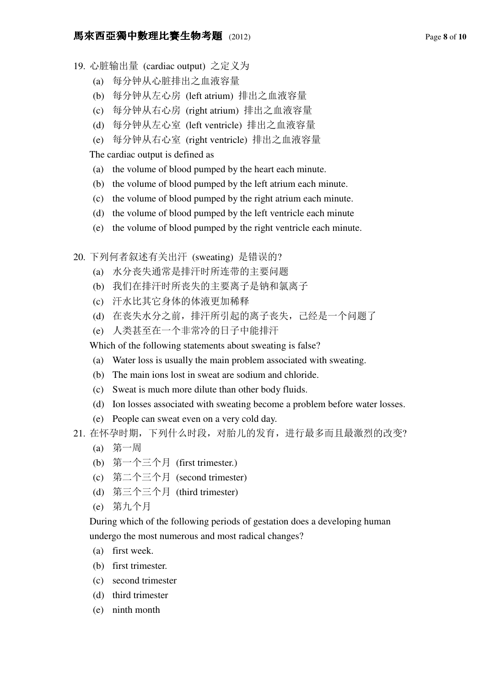#### **馬來西亞獨中數理比賽生物考題** (2012) Page 8 of 10

- 19. 心脏输出量 (cardiac output) 之定义为
	- (a) 每分钟从心脏排出之血液容量
	- (b) 每分钟从左心房 (left atrium) 排出之血液容量
	- (c) 每分钟从右心房 (right atrium) 排出之血液容量
	- (d) 每分钟从左心室 (left ventricle) 排出之血液容量
	- (e) 每分钟从右心室 (right ventricle) 排出之血液容量

The cardiac output is defined as

- (a) the volume of blood pumped by the heart each minute.
- (b) the volume of blood pumped by the left atrium each minute.
- (c) the volume of blood pumped by the right atrium each minute.
- (d) the volume of blood pumped by the left ventricle each minute
- (e) the volume of blood pumped by the right ventricle each minute.
- 20. 下列何者叙述有关出汗 (sweating) 是错误的?
	- (a) 水分丧失通常是排汗时所连带的主要问题
	- (b) 我们在排汗时所丧失的主要离子是钠和氯离子
	- (c) 汗水比其它身体的体液更加稀释
	- (d) 在丧失水分之前,排汗所引起的离子丧失,己经是一个问题了
	- (e) 人类甚至在一个非常冷的日子中能排汗

Which of the following statements about sweating is false?

- (a) Water loss is usually the main problem associated with sweating.
- (b) The main ions lost in sweat are sodium and chloride.
- (c) Sweat is much more dilute than other body fluids.
- (d) Ion losses associated with sweating become a problem before water losses.
- (e) People can sweat even on a very cold day.
- 21. 在怀孕时期,下列什么时段,对胎儿的发育,进行最多而且最激烈的改变?
	- (a) 第一周
	- (b) 第一个三个月 (first trimester.)
	- (c) 第二个三个月 (second trimester)
	- (d) 第三个三个月 (third trimester)
	- (e) 第九个月

During which of the following periods of gestation does a developing human undergo the most numerous and most radical changes?

- (a) first week.
- (b) first trimester.
- (c) second trimester
- (d) third trimester
- (e) ninth month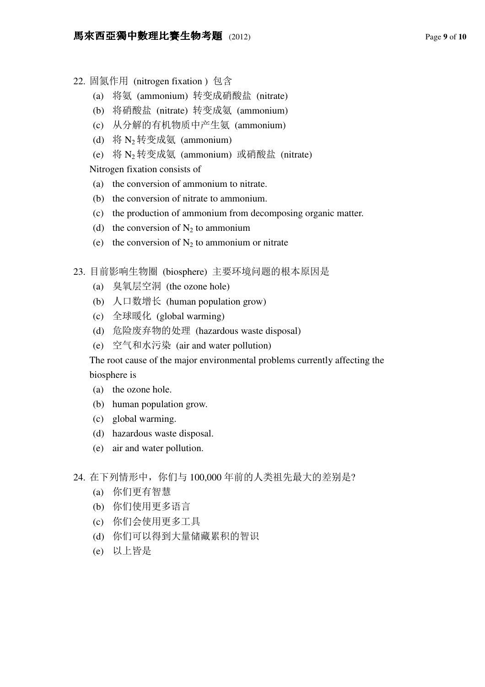- 22. 固氮作用 (nitrogen fixation ) 包含
	- (a) 将氨 (ammonium) 转变成硝酸盐 (nitrate)
	- (b) 将硝酸盐 (nitrate) 转变成氨 (ammonium)
	- (c) 从分解的有机物质中产生氨 (ammonium)
	- (d) 将 N<sup>2</sup> 转变成氨 (ammonium)
	- (e) 将 N<sup>2</sup> 转变成氨 (ammonium) 或硝酸盐 (nitrate)

Nitrogen fixation consists of

- (a) the conversion of ammonium to nitrate.
- (b) the conversion of nitrate to ammonium.
- (c) the production of ammonium from decomposing organic matter.
- (d) the conversion of  $N_2$  to ammonium
- (e) the conversion of  $N_2$  to ammonium or nitrate
- 23. 目前影响生物圈 (biosphere) 主要环境问题的根本原因是
	- (a) 臭氧层空洞 (the ozone hole)
	- (b) 人口数增长 (human population grow)
	- (c) 全球暖化 (global warming)
	- (d) 危险废弃物的处理 (hazardous waste disposal)
	- (e) 空气和水污染 (air and water pollution)

The root cause of the major environmental problems currently affecting the biosphere is

- (a) the ozone hole.
- (b) human population grow.
- (c) global warming.
- (d) hazardous waste disposal.
- (e) air and water pollution.
- 24. 在下列情形中, 你们与 100,000 年前的人类祖先最大的差别是?
	- (a) 你们更有智慧
	- (b) 你们使用更多语言
	- (c) 你们会使用更多工具
	- (d) 你们可以得到大量储藏累积的智识
	- (e) 以上皆是